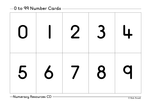## **0 to 99 Number Cards**

| 0 1 2 3 4 |  |  |
|-----------|--|--|
| 5 6 7 8 9 |  |  |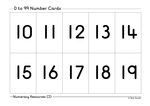## **0 to 99 Number Cards**

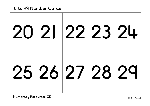|  |  | 20 21 22 23 24 |
|--|--|----------------|
|  |  | 25 26 27 28 29 |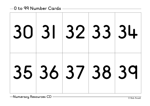|  |  | 30 31 32 33 34 |
|--|--|----------------|
|  |  | 35 36 37 38 39 |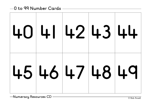|  |  | 40 41 42 43 44 |
|--|--|----------------|
|  |  | 4546474849     |

**Numeracy Resources CD** — <u>Canadian Community Computer</u> Computer Computer Computer Computer Computer Computer Computer Computer Computer Computer Computer Computer Computer Computer Computer Computer Computer Computer Comp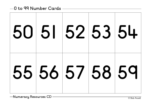|  |  | 50 51 52 53 54 |
|--|--|----------------|
|  |  | 55 56 57 58 59 |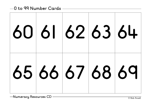|  | 60 61 62 63 64 |  |
|--|----------------|--|
|  | 65 66 67 68 69 |  |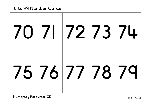|  |  | $70$ 71 72 73 74 |
|--|--|------------------|
|  |  | 75 76 77 78 79   |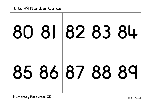| 80 81 82 83 84 |  |  |
|----------------|--|--|
| 85 86 87 88 89 |  |  |